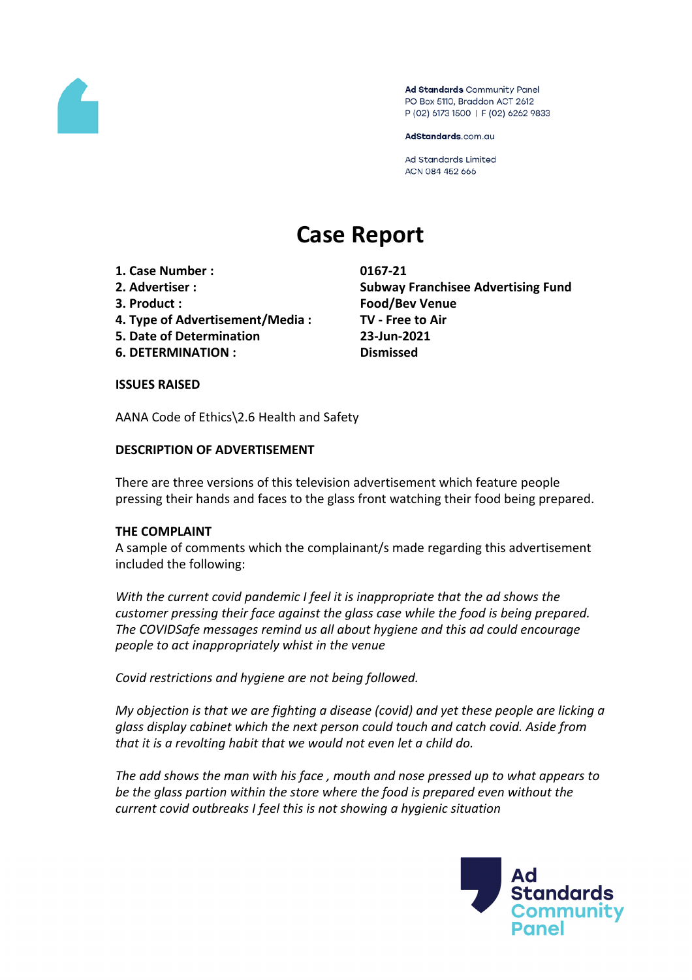

Ad Standards Community Panel PO Box 5110, Braddon ACT 2612 P (02) 6173 1500 | F (02) 6262 9833

AdStandards.com.au

**Ad Standards Limited** ACN 084 452 666

# **Case Report**

- **1. Case Number : 0167-21**
- 
- 
- **4. Type of Advertisement/Media : TV - Free to Air**
- **5. Date of Determination 23-Jun-2021**
- **6. DETERMINATION : Dismissed**

**2. Advertiser : Subway Franchisee Advertising Fund 3. Product : Food/Bev Venue**

## **ISSUES RAISED**

AANA Code of Ethics\2.6 Health and Safety

## **DESCRIPTION OF ADVERTISEMENT**

There are three versions of this television advertisement which feature people pressing their hands and faces to the glass front watching their food being prepared.

## **THE COMPLAINT**

A sample of comments which the complainant/s made regarding this advertisement included the following:

*With the current covid pandemic I feel it is inappropriate that the ad shows the customer pressing their face against the glass case while the food is being prepared. The COVIDSafe messages remind us all about hygiene and this ad could encourage people to act inappropriately whist in the venue*

*Covid restrictions and hygiene are not being followed.*

*My objection is that we are fighting a disease (covid) and yet these people are licking a glass display cabinet which the next person could touch and catch covid. Aside from that it is a revolting habit that we would not even let a child do.*

*The add shows the man with his face , mouth and nose pressed up to what appears to be the glass partion within the store where the food is prepared even without the current covid outbreaks I feel this is not showing a hygienic situation*

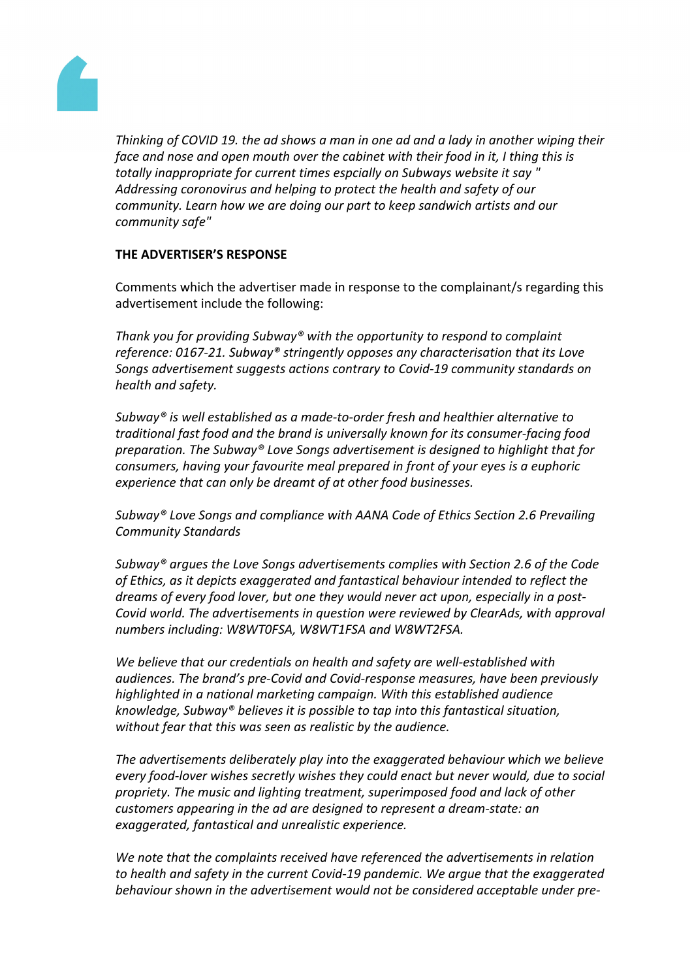

*Thinking of COVID 19. the ad shows a man in one ad and a lady in another wiping their face and nose and open mouth over the cabinet with their food in it, I thing this is totally inappropriate for current times espcially on Subways website it say " Addressing coronovirus and helping to protect the health and safety of our community. Learn how we are doing our part to keep sandwich artists and our community safe"*

## **THE ADVERTISER'S RESPONSE**

Comments which the advertiser made in response to the complainant/s regarding this advertisement include the following:

*Thank you for providing Subway® with the opportunity to respond to complaint reference: 0167-21. Subway® stringently opposes any characterisation that its Love Songs advertisement suggests actions contrary to Covid-19 community standards on health and safety.*

*Subway® is well established as a made-to-order fresh and healthier alternative to traditional fast food and the brand is universally known for its consumer-facing food preparation. The Subway® Love Songs advertisement is designed to highlight that for consumers, having your favourite meal prepared in front of your eyes is a euphoric experience that can only be dreamt of at other food businesses.*

*Subway® Love Songs and compliance with AANA Code of Ethics Section 2.6 Prevailing Community Standards*

*Subway® argues the Love Songs advertisements complies with Section 2.6 of the Code of Ethics, as it depicts exaggerated and fantastical behaviour intended to reflect the dreams of every food lover, but one they would never act upon, especially in a post-Covid world. The advertisements in question were reviewed by ClearAds, with approval numbers including: W8WT0FSA, W8WT1FSA and W8WT2FSA.*

*We believe that our credentials on health and safety are well-established with audiences. The brand's pre-Covid and Covid-response measures, have been previously highlighted in a national marketing campaign. With this established audience knowledge, Subway® believes it is possible to tap into this fantastical situation, without fear that this was seen as realistic by the audience.*

*The advertisements deliberately play into the exaggerated behaviour which we believe every food-lover wishes secretly wishes they could enact but never would, due to social propriety. The music and lighting treatment, superimposed food and lack of other customers appearing in the ad are designed to represent a dream-state: an exaggerated, fantastical and unrealistic experience.*

*We note that the complaints received have referenced the advertisements in relation to health and safety in the current Covid-19 pandemic. We argue that the exaggerated behaviour shown in the advertisement would not be considered acceptable under pre-*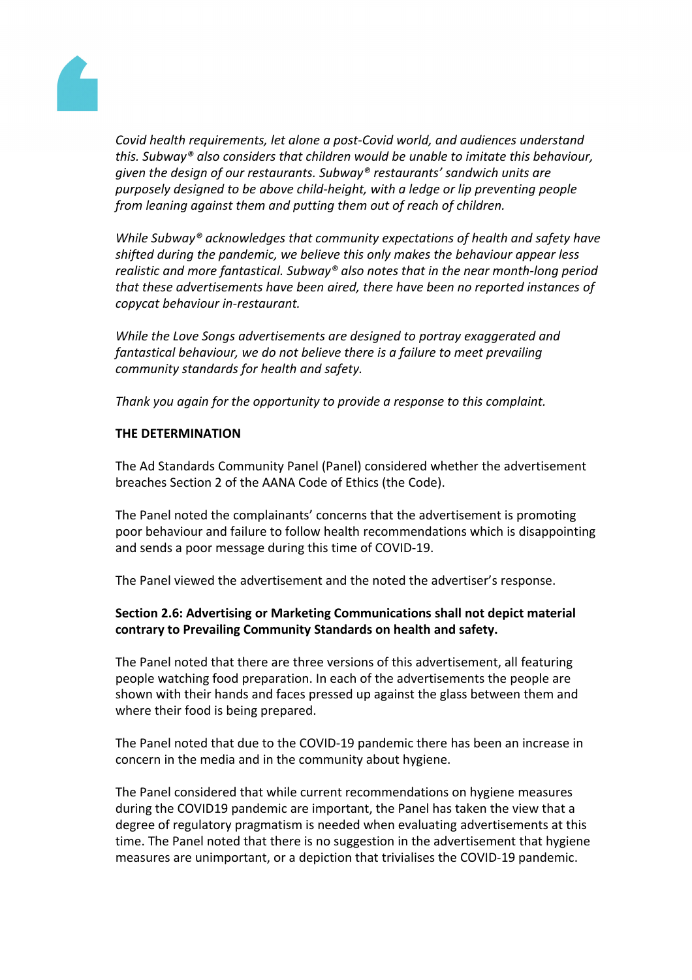

*Covid health requirements, let alone a post-Covid world, and audiences understand this. Subway® also considers that children would be unable to imitate this behaviour, given the design of our restaurants. Subway® restaurants' sandwich units are purposely designed to be above child-height, with a ledge or lip preventing people from leaning against them and putting them out of reach of children.*

*While Subway® acknowledges that community expectations of health and safety have shifted during the pandemic, we believe this only makes the behaviour appear less realistic and more fantastical. Subway® also notes that in the near month-long period that these advertisements have been aired, there have been no reported instances of copycat behaviour in-restaurant.*

*While the Love Songs advertisements are designed to portray exaggerated and fantastical behaviour, we do not believe there is a failure to meet prevailing community standards for health and safety.*

*Thank you again for the opportunity to provide a response to this complaint.*

## **THE DETERMINATION**

The Ad Standards Community Panel (Panel) considered whether the advertisement breaches Section 2 of the AANA Code of Ethics (the Code).

The Panel noted the complainants' concerns that the advertisement is promoting poor behaviour and failure to follow health recommendations which is disappointing and sends a poor message during this time of COVID-19.

The Panel viewed the advertisement and the noted the advertiser's response.

## **Section 2.6: Advertising or Marketing Communications shall not depict material contrary to Prevailing Community Standards on health and safety.**

The Panel noted that there are three versions of this advertisement, all featuring people watching food preparation. In each of the advertisements the people are shown with their hands and faces pressed up against the glass between them and where their food is being prepared.

The Panel noted that due to the COVID-19 pandemic there has been an increase in concern in the media and in the community about hygiene.

The Panel considered that while current recommendations on hygiene measures during the COVID19 pandemic are important, the Panel has taken the view that a degree of regulatory pragmatism is needed when evaluating advertisements at this time. The Panel noted that there is no suggestion in the advertisement that hygiene measures are unimportant, or a depiction that trivialises the COVID-19 pandemic.